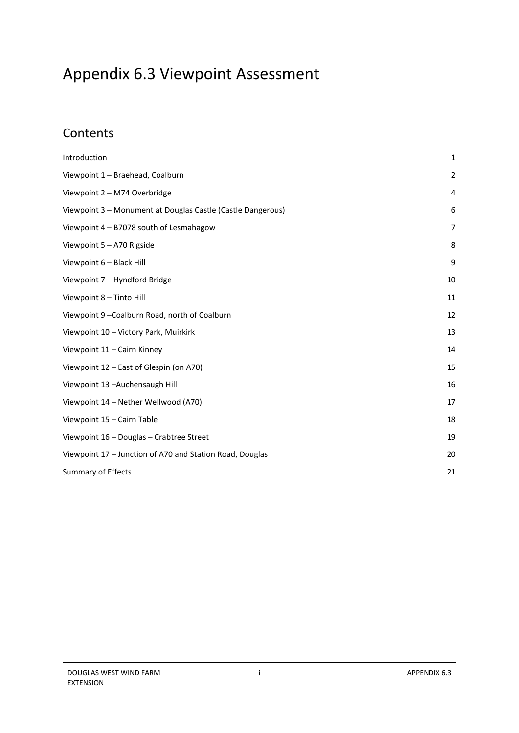# Appendix 6.3 Viewpoint Assessment

# **Contents**

| Introduction                                                | 1              |
|-------------------------------------------------------------|----------------|
| Viewpoint 1 - Braehead, Coalburn                            | $\overline{2}$ |
| Viewpoint 2 - M74 Overbridge                                | 4              |
| Viewpoint 3 - Monument at Douglas Castle (Castle Dangerous) | 6              |
| Viewpoint 4 - B7078 south of Lesmahagow                     | $\overline{7}$ |
| Viewpoint 5 - A70 Rigside                                   | 8              |
| Viewpoint 6 - Black Hill                                    | 9              |
| Viewpoint 7 - Hyndford Bridge                               | 10             |
| Viewpoint 8 - Tinto Hill                                    | 11             |
| Viewpoint 9-Coalburn Road, north of Coalburn                | 12             |
| Viewpoint 10 - Victory Park, Muirkirk                       | 13             |
| Viewpoint 11 - Cairn Kinney                                 | 14             |
| Viewpoint 12 - East of Glespin (on A70)                     | 15             |
| Viewpoint 13-Auchensaugh Hill                               | 16             |
| Viewpoint 14 - Nether Wellwood (A70)                        | 17             |
| Viewpoint 15 - Cairn Table                                  | 18             |
| Viewpoint 16 - Douglas - Crabtree Street                    | 19             |
| Viewpoint 17 - Junction of A70 and Station Road, Douglas    | 20             |
| Summary of Effects                                          | 21             |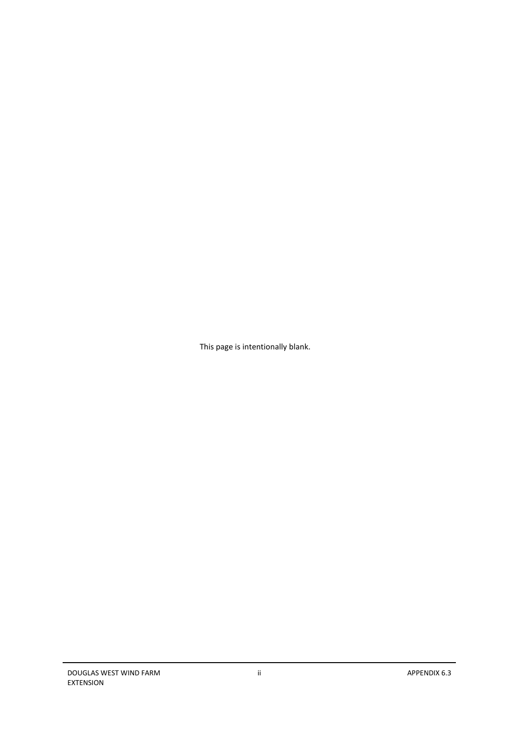This page is intentionally blank.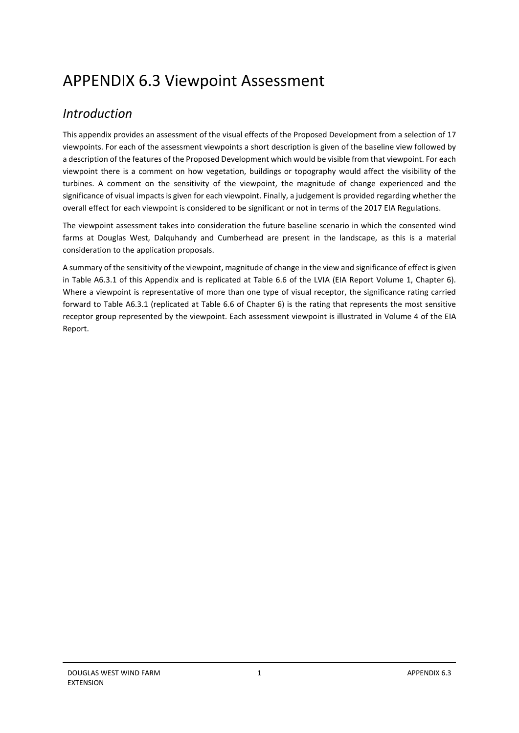# APPENDIX 6.3 Viewpoint Assessment

### <span id="page-2-0"></span>*Introduction*

This appendix provides an assessment of the visual effects of the Proposed Development from a selection of 17 viewpoints. For each of the assessment viewpoints a short description is given of the baseline view followed by a description of the features of the Proposed Development which would be visible from that viewpoint. For each viewpoint there is a comment on how vegetation, buildings or topography would affect the visibility of the turbines. A comment on the sensitivity of the viewpoint, the magnitude of change experienced and the significance of visual impacts is given for each viewpoint. Finally, a judgement is provided regarding whether the overall effect for each viewpoint is considered to be significant or not in terms of the 2017 EIA Regulations.

The viewpoint assessment takes into consideration the future baseline scenario in which the consented wind farms at Douglas West, Dalquhandy and Cumberhead are present in the landscape, as this is a material consideration to the application proposals.

A summary of the sensitivity of the viewpoint, magnitude of change in the view and significance of effect is given in Table A6.3.1 of this Appendix and is replicated at Table 6.6 of the LVIA (EIA Report Volume 1, Chapter 6). Where a viewpoint is representative of more than one type of visual receptor, the significance rating carried forward to Table A6.3.1 (replicated at Table 6.6 of Chapter 6) is the rating that represents the most sensitive receptor group represented by the viewpoint. Each assessment viewpoint is illustrated in Volume 4 of the EIA Report.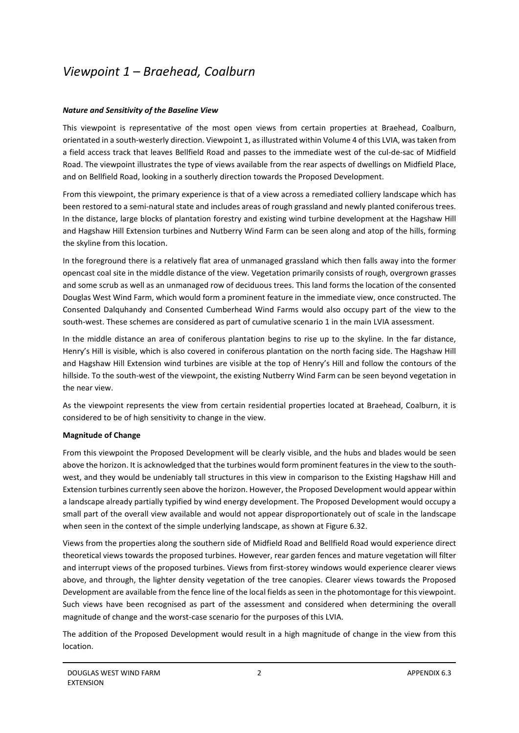### <span id="page-3-0"></span>*Viewpoint 1 – Braehead, Coalburn*

### *Nature and Sensitivity of the Baseline View*

This viewpoint is representative of the most open views from certain properties at Braehead, Coalburn, orientated in a south-westerly direction. Viewpoint 1, as illustrated within Volume 4 of this LVIA, was taken from a field access track that leaves Bellfield Road and passes to the immediate west of the cul-de-sac of Midfield Road. The viewpoint illustrates the type of views available from the rear aspects of dwellings on Midfield Place, and on Bellfield Road, looking in a southerly direction towards the Proposed Development.

From this viewpoint, the primary experience is that of a view across a remediated colliery landscape which has been restored to a semi-natural state and includes areas of rough grassland and newly planted coniferous trees. In the distance, large blocks of plantation forestry and existing wind turbine development at the Hagshaw Hill and Hagshaw Hill Extension turbines and Nutberry Wind Farm can be seen along and atop of the hills, forming the skyline from this location.

In the foreground there is a relatively flat area of unmanaged grassland which then falls away into the former opencast coal site in the middle distance of the view. Vegetation primarily consists of rough, overgrown grasses and some scrub as well as an unmanaged row of deciduous trees. This land forms the location of the consented Douglas West Wind Farm, which would form a prominent feature in the immediate view, once constructed. The Consented Dalquhandy and Consented Cumberhead Wind Farms would also occupy part of the view to the south-west. These schemes are considered as part of cumulative scenario 1 in the main LVIA assessment.

In the middle distance an area of coniferous plantation begins to rise up to the skyline. In the far distance, Henry's Hill is visible, which is also covered in coniferous plantation on the north facing side. The Hagshaw Hill and Hagshaw Hill Extension wind turbines are visible at the top of Henry's Hill and follow the contours of the hillside. To the south-west of the viewpoint, the existing Nutberry Wind Farm can be seen beyond vegetation in the near view.

As the viewpoint represents the view from certain residential properties located at Braehead, Coalburn, it is considered to be of high sensitivity to change in the view.

### **Magnitude of Change**

From this viewpoint the Proposed Development will be clearly visible, and the hubs and blades would be seen above the horizon. It is acknowledged that the turbines would form prominent features in the view to the southwest, and they would be undeniably tall structures in this view in comparison to the Existing Hagshaw Hill and Extension turbines currently seen above the horizon. However, the Proposed Development would appear within a landscape already partially typified by wind energy development. The Proposed Development would occupy a small part of the overall view available and would not appear disproportionately out of scale in the landscape when seen in the context of the simple underlying landscape, as shown at Figure 6.32.

Views from the properties along the southern side of Midfield Road and Bellfield Road would experience direct theoretical views towards the proposed turbines. However, rear garden fences and mature vegetation will filter and interrupt views of the proposed turbines. Views from first-storey windows would experience clearer views above, and through, the lighter density vegetation of the tree canopies. Clearer views towards the Proposed Development are available from the fence line of the local fields as seen in the photomontage for this viewpoint. Such views have been recognised as part of the assessment and considered when determining the overall magnitude of change and the worst-case scenario for the purposes of this LVIA.

The addition of the Proposed Development would result in a high magnitude of change in the view from this location.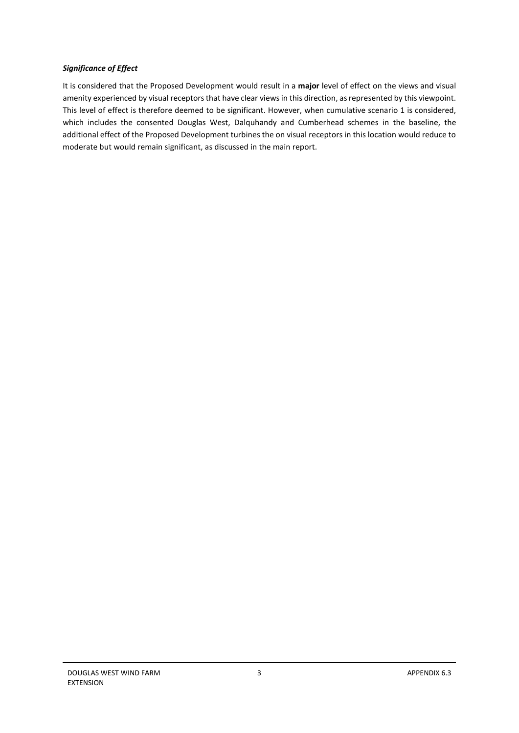### *Significance of Effect*

It is considered that the Proposed Development would result in a **major** level of effect on the views and visual amenity experienced by visual receptors that have clear views in this direction, as represented by this viewpoint. This level of effect is therefore deemed to be significant. However, when cumulative scenario 1 is considered, which includes the consented Douglas West, Dalquhandy and Cumberhead schemes in the baseline, the additional effect of the Proposed Development turbines the on visual receptors in this location would reduce to moderate but would remain significant, as discussed in the main report.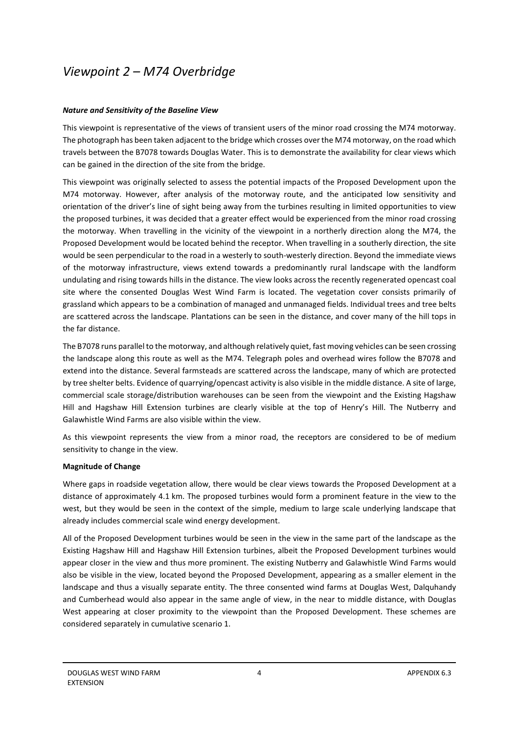### <span id="page-5-0"></span>*Viewpoint 2 – M74 Overbridge*

### *Nature and Sensitivity of the Baseline View*

This viewpoint is representative of the views of transient users of the minor road crossing the M74 motorway. The photograph has been taken adjacent to the bridge which crosses over the M74 motorway, on the road which travels between the B7078 towards Douglas Water. This is to demonstrate the availability for clear views which can be gained in the direction of the site from the bridge.

This viewpoint was originally selected to assess the potential impacts of the Proposed Development upon the M74 motorway. However, after analysis of the motorway route, and the anticipated low sensitivity and orientation of the driver's line of sight being away from the turbines resulting in limited opportunities to view the proposed turbines, it was decided that a greater effect would be experienced from the minor road crossing the motorway. When travelling in the vicinity of the viewpoint in a northerly direction along the M74, the Proposed Development would be located behind the receptor. When travelling in a southerly direction, the site would be seen perpendicular to the road in a westerly to south-westerly direction. Beyond the immediate views of the motorway infrastructure, views extend towards a predominantly rural landscape with the landform undulating and rising towards hills in the distance. The view looks across the recently regenerated opencast coal site where the consented Douglas West Wind Farm is located. The vegetation cover consists primarily of grassland which appears to be a combination of managed and unmanaged fields. Individual trees and tree belts are scattered across the landscape. Plantations can be seen in the distance, and cover many of the hill tops in the far distance.

The B7078 runs parallel to the motorway, and although relatively quiet, fast moving vehicles can be seen crossing the landscape along this route as well as the M74. Telegraph poles and overhead wires follow the B7078 and extend into the distance. Several farmsteads are scattered across the landscape, many of which are protected by tree shelter belts. Evidence of quarrying/opencast activity is also visible in the middle distance. A site of large, commercial scale storage/distribution warehouses can be seen from the viewpoint and the Existing Hagshaw Hill and Hagshaw Hill Extension turbines are clearly visible at the top of Henry's Hill. The Nutberry and Galawhistle Wind Farms are also visible within the view.

As this viewpoint represents the view from a minor road, the receptors are considered to be of medium sensitivity to change in the view.

#### **Magnitude of Change**

Where gaps in roadside vegetation allow, there would be clear views towards the Proposed Development at a distance of approximately 4.1 km. The proposed turbines would form a prominent feature in the view to the west, but they would be seen in the context of the simple, medium to large scale underlying landscape that already includes commercial scale wind energy development.

All of the Proposed Development turbines would be seen in the view in the same part of the landscape as the Existing Hagshaw Hill and Hagshaw Hill Extension turbines, albeit the Proposed Development turbines would appear closer in the view and thus more prominent. The existing Nutberry and Galawhistle Wind Farms would also be visible in the view, located beyond the Proposed Development, appearing as a smaller element in the landscape and thus a visually separate entity. The three consented wind farms at Douglas West, Dalquhandy and Cumberhead would also appear in the same angle of view, in the near to middle distance, with Douglas West appearing at closer proximity to the viewpoint than the Proposed Development. These schemes are considered separately in cumulative scenario 1.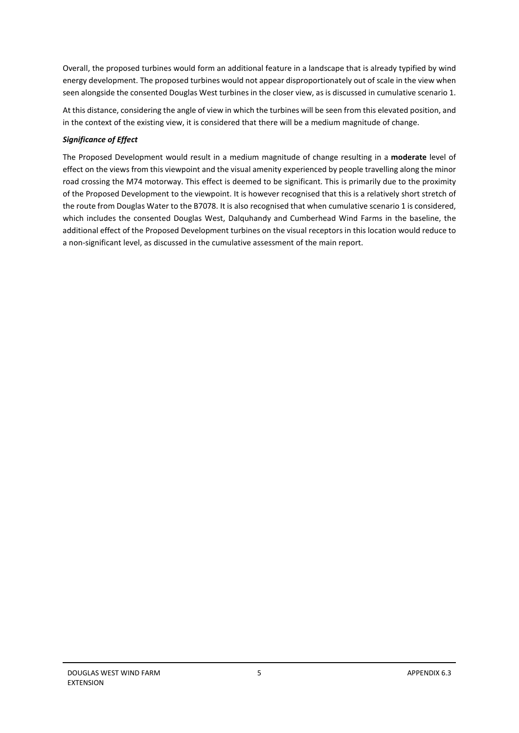Overall, the proposed turbines would form an additional feature in a landscape that is already typified by wind energy development. The proposed turbines would not appear disproportionately out of scale in the view when seen alongside the consented Douglas West turbines in the closer view, as is discussed in cumulative scenario 1.

At this distance, considering the angle of view in which the turbines will be seen from this elevated position, and in the context of the existing view, it is considered that there will be a medium magnitude of change.

### *Significance of Effect*

The Proposed Development would result in a medium magnitude of change resulting in a **moderate** level of effect on the views from this viewpoint and the visual amenity experienced by people travelling along the minor road crossing the M74 motorway. This effect is deemed to be significant. This is primarily due to the proximity of the Proposed Development to the viewpoint. It is however recognised that this is a relatively short stretch of the route from Douglas Water to the B7078. It is also recognised that when cumulative scenario 1 is considered, which includes the consented Douglas West, Dalquhandy and Cumberhead Wind Farms in the baseline, the additional effect of the Proposed Development turbines on the visual receptors in this location would reduce to a non-significant level, as discussed in the cumulative assessment of the main report.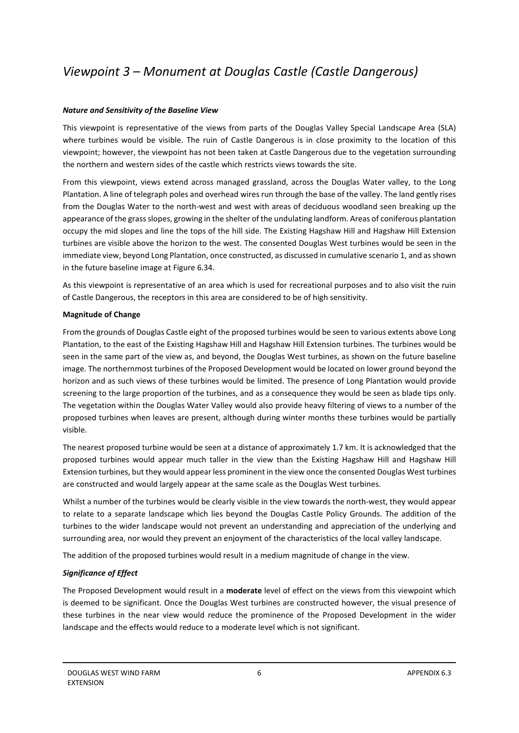# <span id="page-7-0"></span>*Viewpoint 3 – Monument at Douglas Castle (Castle Dangerous)*

### *Nature and Sensitivity of the Baseline View*

This viewpoint is representative of the views from parts of the Douglas Valley Special Landscape Area (SLA) where turbines would be visible. The ruin of Castle Dangerous is in close proximity to the location of this viewpoint; however, the viewpoint has not been taken at Castle Dangerous due to the vegetation surrounding the northern and western sides of the castle which restricts views towards the site.

From this viewpoint, views extend across managed grassland, across the Douglas Water valley, to the Long Plantation. A line of telegraph poles and overhead wires run through the base of the valley. The land gently rises from the Douglas Water to the north-west and west with areas of deciduous woodland seen breaking up the appearance of the grass slopes, growing in the shelter of the undulating landform. Areas of coniferous plantation occupy the mid slopes and line the tops of the hill side. The Existing Hagshaw Hill and Hagshaw Hill Extension turbines are visible above the horizon to the west. The consented Douglas West turbines would be seen in the immediate view, beyond Long Plantation, once constructed, as discussed in cumulative scenario 1, and as shown in the future baseline image at Figure 6.34.

As this viewpoint is representative of an area which is used for recreational purposes and to also visit the ruin of Castle Dangerous, the receptors in this area are considered to be of high sensitivity.

### **Magnitude of Change**

From the grounds of Douglas Castle eight of the proposed turbines would be seen to various extents above Long Plantation, to the east of the Existing Hagshaw Hill and Hagshaw Hill Extension turbines. The turbines would be seen in the same part of the view as, and beyond, the Douglas West turbines, as shown on the future baseline image. The northernmost turbines of the Proposed Development would be located on lower ground beyond the horizon and as such views of these turbines would be limited. The presence of Long Plantation would provide screening to the large proportion of the turbines, and as a consequence they would be seen as blade tips only. The vegetation within the Douglas Water Valley would also provide heavy filtering of views to a number of the proposed turbines when leaves are present, although during winter months these turbines would be partially visible.

The nearest proposed turbine would be seen at a distance of approximately 1.7 km. It is acknowledged that the proposed turbines would appear much taller in the view than the Existing Hagshaw Hill and Hagshaw Hill Extension turbines, but they would appear less prominent in the view once the consented Douglas West turbines are constructed and would largely appear at the same scale as the Douglas West turbines.

Whilst a number of the turbines would be clearly visible in the view towards the north-west, they would appear to relate to a separate landscape which lies beyond the Douglas Castle Policy Grounds. The addition of the turbines to the wider landscape would not prevent an understanding and appreciation of the underlying and surrounding area, nor would they prevent an enjoyment of the characteristics of the local valley landscape.

The addition of the proposed turbines would result in a medium magnitude of change in the view.

### *Significance of Effect*

The Proposed Development would result in a **moderate** level of effect on the views from this viewpoint which is deemed to be significant. Once the Douglas West turbines are constructed however, the visual presence of these turbines in the near view would reduce the prominence of the Proposed Development in the wider landscape and the effects would reduce to a moderate level which is not significant.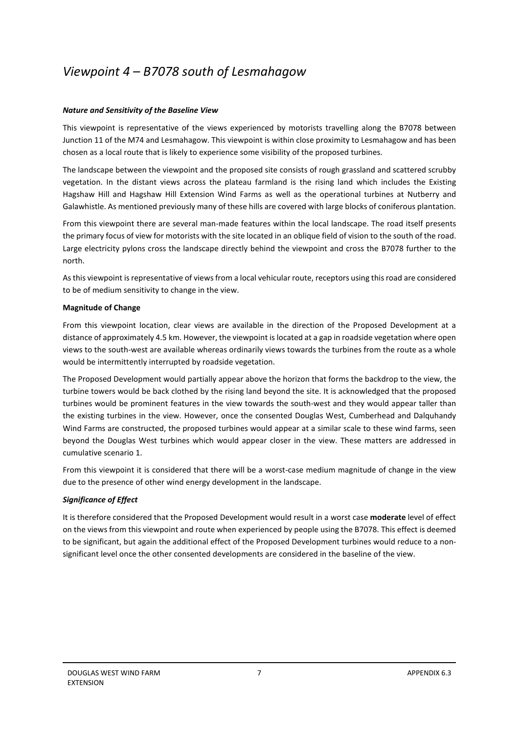## <span id="page-8-0"></span>*Viewpoint 4 – B7078 south of Lesmahagow*

### *Nature and Sensitivity of the Baseline View*

This viewpoint is representative of the views experienced by motorists travelling along the B7078 between Junction 11 of the M74 and Lesmahagow. This viewpoint is within close proximity to Lesmahagow and has been chosen as a local route that is likely to experience some visibility of the proposed turbines.

The landscape between the viewpoint and the proposed site consists of rough grassland and scattered scrubby vegetation. In the distant views across the plateau farmland is the rising land which includes the Existing Hagshaw Hill and Hagshaw Hill Extension Wind Farms as well as the operational turbines at Nutberry and Galawhistle. As mentioned previously many of these hills are covered with large blocks of coniferous plantation.

From this viewpoint there are several man-made features within the local landscape. The road itself presents the primary focus of view for motorists with the site located in an oblique field of vision to the south of the road. Large electricity pylons cross the landscape directly behind the viewpoint and cross the B7078 further to the north.

As this viewpoint is representative of views from a local vehicular route, receptors using this road are considered to be of medium sensitivity to change in the view.

### **Magnitude of Change**

From this viewpoint location, clear views are available in the direction of the Proposed Development at a distance of approximately 4.5 km. However, the viewpoint is located at a gap in roadside vegetation where open views to the south-west are available whereas ordinarily views towards the turbines from the route as a whole would be intermittently interrupted by roadside vegetation.

The Proposed Development would partially appear above the horizon that forms the backdrop to the view, the turbine towers would be back clothed by the rising land beyond the site. It is acknowledged that the proposed turbines would be prominent features in the view towards the south-west and they would appear taller than the existing turbines in the view. However, once the consented Douglas West, Cumberhead and Dalquhandy Wind Farms are constructed, the proposed turbines would appear at a similar scale to these wind farms, seen beyond the Douglas West turbines which would appear closer in the view. These matters are addressed in cumulative scenario 1.

From this viewpoint it is considered that there will be a worst-case medium magnitude of change in the view due to the presence of other wind energy development in the landscape.

### *Significance of Effect*

It is therefore considered that the Proposed Development would result in a worst case **moderate** level of effect on the views from this viewpoint and route when experienced by people using the B7078. This effect is deemed to be significant, but again the additional effect of the Proposed Development turbines would reduce to a nonsignificant level once the other consented developments are considered in the baseline of the view.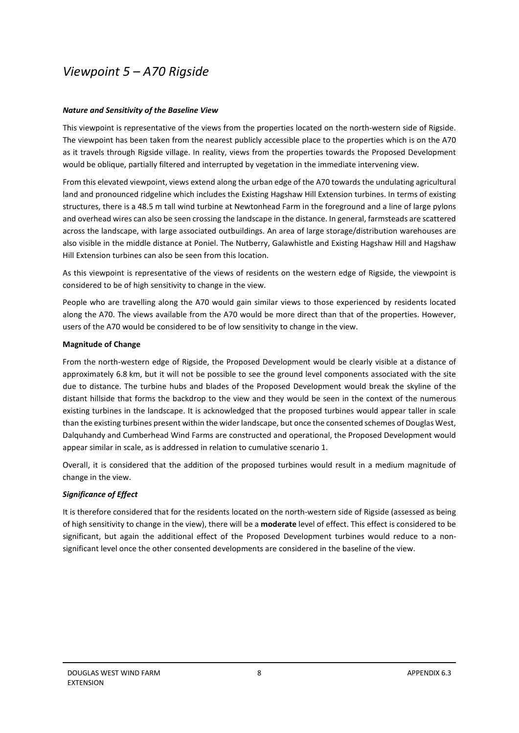### <span id="page-9-0"></span>*Viewpoint 5 – A70 Rigside*

### *Nature and Sensitivity of the Baseline View*

This viewpoint is representative of the views from the properties located on the north-western side of Rigside. The viewpoint has been taken from the nearest publicly accessible place to the properties which is on the A70 as it travels through Rigside village. In reality, views from the properties towards the Proposed Development would be oblique, partially filtered and interrupted by vegetation in the immediate intervening view.

From this elevated viewpoint, views extend along the urban edge of the A70 towards the undulating agricultural land and pronounced ridgeline which includes the Existing Hagshaw Hill Extension turbines. In terms of existing structures, there is a 48.5 m tall wind turbine at Newtonhead Farm in the foreground and a line of large pylons and overhead wires can also be seen crossing the landscape in the distance. In general, farmsteads are scattered across the landscape, with large associated outbuildings. An area of large storage/distribution warehouses are also visible in the middle distance at Poniel. The Nutberry, Galawhistle and Existing Hagshaw Hill and Hagshaw Hill Extension turbines can also be seen from this location.

As this viewpoint is representative of the views of residents on the western edge of Rigside, the viewpoint is considered to be of high sensitivity to change in the view.

People who are travelling along the A70 would gain similar views to those experienced by residents located along the A70. The views available from the A70 would be more direct than that of the properties. However, users of the A70 would be considered to be of low sensitivity to change in the view.

#### **Magnitude of Change**

From the north-western edge of Rigside, the Proposed Development would be clearly visible at a distance of approximately 6.8 km, but it will not be possible to see the ground level components associated with the site due to distance. The turbine hubs and blades of the Proposed Development would break the skyline of the distant hillside that forms the backdrop to the view and they would be seen in the context of the numerous existing turbines in the landscape. It is acknowledged that the proposed turbines would appear taller in scale than the existing turbines present within the wider landscape, but once the consented schemes of Douglas West, Dalquhandy and Cumberhead Wind Farms are constructed and operational, the Proposed Development would appear similar in scale, as is addressed in relation to cumulative scenario 1.

Overall, it is considered that the addition of the proposed turbines would result in a medium magnitude of change in the view.

### *Significance of Effect*

It is therefore considered that for the residents located on the north-western side of Rigside (assessed as being of high sensitivity to change in the view), there will be a **moderate** level of effect. This effect is considered to be significant, but again the additional effect of the Proposed Development turbines would reduce to a nonsignificant level once the other consented developments are considered in the baseline of the view.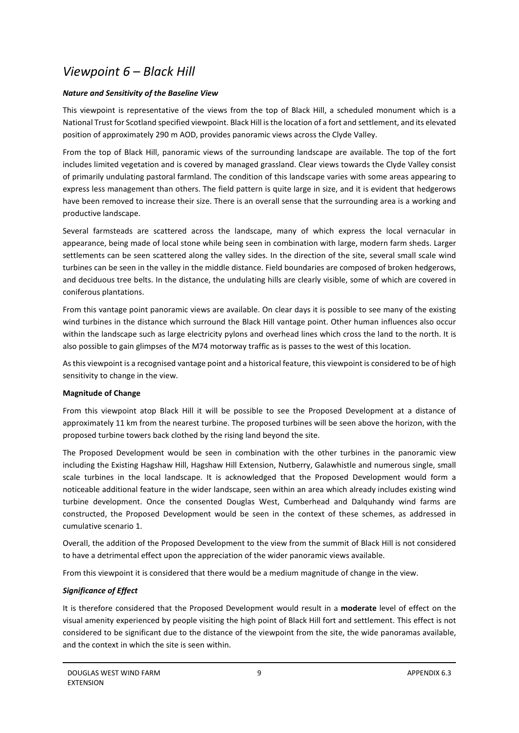### <span id="page-10-0"></span>*Viewpoint 6 – Black Hill*

### *Nature and Sensitivity of the Baseline View*

This viewpoint is representative of the views from the top of Black Hill, a scheduled monument which is a National Trust for Scotland specified viewpoint. Black Hill is the location of a fort and settlement, and its elevated position of approximately 290 m AOD, provides panoramic views across the Clyde Valley.

From the top of Black Hill, panoramic views of the surrounding landscape are available. The top of the fort includes limited vegetation and is covered by managed grassland. Clear views towards the Clyde Valley consist of primarily undulating pastoral farmland. The condition of this landscape varies with some areas appearing to express less management than others. The field pattern is quite large in size, and it is evident that hedgerows have been removed to increase their size. There is an overall sense that the surrounding area is a working and productive landscape.

Several farmsteads are scattered across the landscape, many of which express the local vernacular in appearance, being made of local stone while being seen in combination with large, modern farm sheds. Larger settlements can be seen scattered along the valley sides. In the direction of the site, several small scale wind turbines can be seen in the valley in the middle distance. Field boundaries are composed of broken hedgerows, and deciduous tree belts. In the distance, the undulating hills are clearly visible, some of which are covered in coniferous plantations.

From this vantage point panoramic views are available. On clear days it is possible to see many of the existing wind turbines in the distance which surround the Black Hill vantage point. Other human influences also occur within the landscape such as large electricity pylons and overhead lines which cross the land to the north. It is also possible to gain glimpses of the M74 motorway traffic as is passes to the west of this location.

As this viewpoint is a recognised vantage point and a historical feature, this viewpoint is considered to be of high sensitivity to change in the view.

### **Magnitude of Change**

From this viewpoint atop Black Hill it will be possible to see the Proposed Development at a distance of approximately 11 km from the nearest turbine. The proposed turbines will be seen above the horizon, with the proposed turbine towers back clothed by the rising land beyond the site.

The Proposed Development would be seen in combination with the other turbines in the panoramic view including the Existing Hagshaw Hill, Hagshaw Hill Extension, Nutberry, Galawhistle and numerous single, small scale turbines in the local landscape. It is acknowledged that the Proposed Development would form a noticeable additional feature in the wider landscape, seen within an area which already includes existing wind turbine development. Once the consented Douglas West, Cumberhead and Dalquhandy wind farms are constructed, the Proposed Development would be seen in the context of these schemes, as addressed in cumulative scenario 1.

Overall, the addition of the Proposed Development to the view from the summit of Black Hill is not considered to have a detrimental effect upon the appreciation of the wider panoramic views available.

From this viewpoint it is considered that there would be a medium magnitude of change in the view.

### *Significance of Effect*

It is therefore considered that the Proposed Development would result in a **moderate** level of effect on the visual amenity experienced by people visiting the high point of Black Hill fort and settlement. This effect is not considered to be significant due to the distance of the viewpoint from the site, the wide panoramas available, and the context in which the site is seen within.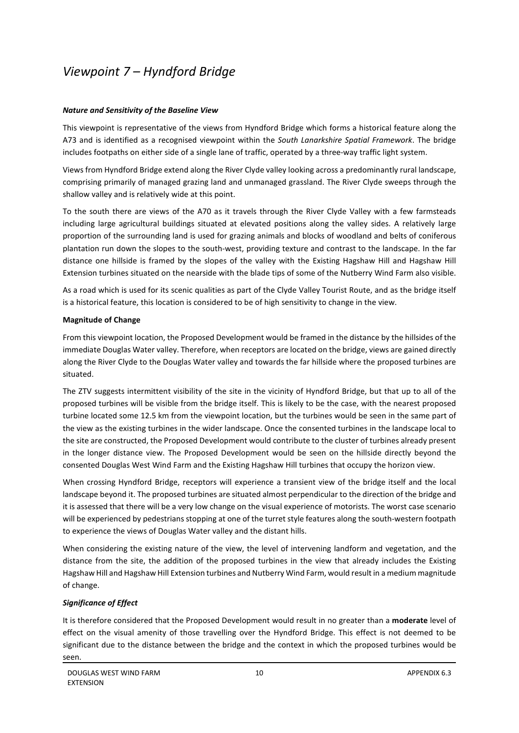## <span id="page-11-0"></span>*Viewpoint 7 – Hyndford Bridge*

### *Nature and Sensitivity of the Baseline View*

This viewpoint is representative of the views from Hyndford Bridge which forms a historical feature along the A73 and is identified as a recognised viewpoint within the *South Lanarkshire Spatial Framework*. The bridge includes footpaths on either side of a single lane of traffic, operated by a three-way traffic light system.

Views from Hyndford Bridge extend along the River Clyde valley looking across a predominantly rural landscape, comprising primarily of managed grazing land and unmanaged grassland. The River Clyde sweeps through the shallow valley and is relatively wide at this point.

To the south there are views of the A70 as it travels through the River Clyde Valley with a few farmsteads including large agricultural buildings situated at elevated positions along the valley sides. A relatively large proportion of the surrounding land is used for grazing animals and blocks of woodland and belts of coniferous plantation run down the slopes to the south-west, providing texture and contrast to the landscape. In the far distance one hillside is framed by the slopes of the valley with the Existing Hagshaw Hill and Hagshaw Hill Extension turbines situated on the nearside with the blade tips of some of the Nutberry Wind Farm also visible.

As a road which is used for its scenic qualities as part of the Clyde Valley Tourist Route, and as the bridge itself is a historical feature, this location is considered to be of high sensitivity to change in the view.

#### **Magnitude of Change**

From this viewpoint location, the Proposed Development would be framed in the distance by the hillsides of the immediate Douglas Water valley. Therefore, when receptors are located on the bridge, views are gained directly along the River Clyde to the Douglas Water valley and towards the far hillside where the proposed turbines are situated.

The ZTV suggests intermittent visibility of the site in the vicinity of Hyndford Bridge, but that up to all of the proposed turbines will be visible from the bridge itself. This is likely to be the case, with the nearest proposed turbine located some 12.5 km from the viewpoint location, but the turbines would be seen in the same part of the view as the existing turbines in the wider landscape. Once the consented turbines in the landscape local to the site are constructed, the Proposed Development would contribute to the cluster of turbines already present in the longer distance view. The Proposed Development would be seen on the hillside directly beyond the consented Douglas West Wind Farm and the Existing Hagshaw Hill turbines that occupy the horizon view.

When crossing Hyndford Bridge, receptors will experience a transient view of the bridge itself and the local landscape beyond it. The proposed turbines are situated almost perpendicular to the direction of the bridge and it is assessed that there will be a very low change on the visual experience of motorists. The worst case scenario will be experienced by pedestrians stopping at one of the turret style features along the south-western footpath to experience the views of Douglas Water valley and the distant hills.

When considering the existing nature of the view, the level of intervening landform and vegetation, and the distance from the site, the addition of the proposed turbines in the view that already includes the Existing Hagshaw Hill and Hagshaw Hill Extension turbines and Nutberry Wind Farm, would result in a medium magnitude of change.

### *Significance of Effect*

It is therefore considered that the Proposed Development would result in no greater than a **moderate** level of effect on the visual amenity of those travelling over the Hyndford Bridge. This effect is not deemed to be significant due to the distance between the bridge and the context in which the proposed turbines would be seen.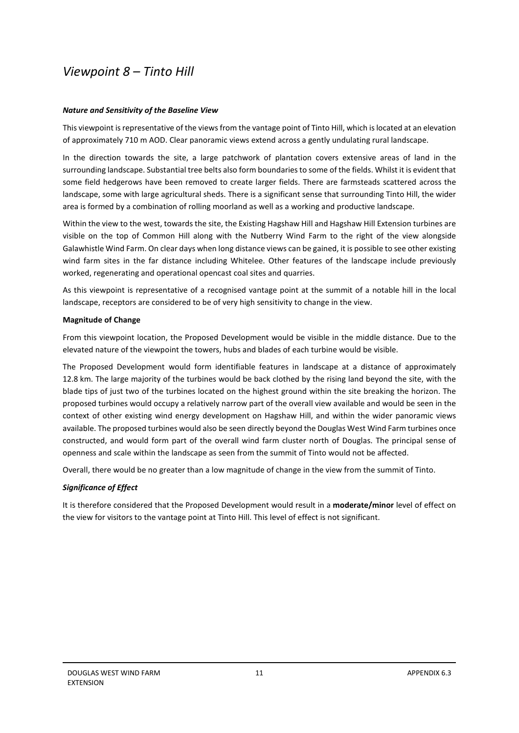### <span id="page-12-0"></span>*Viewpoint 8 – Tinto Hill*

#### *Nature and Sensitivity of the Baseline View*

This viewpoint is representative of the views from the vantage point of Tinto Hill, which is located at an elevation of approximately 710 m AOD. Clear panoramic views extend across a gently undulating rural landscape.

In the direction towards the site, a large patchwork of plantation covers extensive areas of land in the surrounding landscape. Substantial tree belts also form boundaries to some of the fields. Whilst it is evident that some field hedgerows have been removed to create larger fields. There are farmsteads scattered across the landscape, some with large agricultural sheds. There is a significant sense that surrounding Tinto Hill, the wider area is formed by a combination of rolling moorland as well as a working and productive landscape.

Within the view to the west, towards the site, the Existing Hagshaw Hill and Hagshaw Hill Extension turbines are visible on the top of Common Hill along with the Nutberry Wind Farm to the right of the view alongside Galawhistle Wind Farm. On clear days when long distance views can be gained, it is possible to see other existing wind farm sites in the far distance including Whitelee. Other features of the landscape include previously worked, regenerating and operational opencast coal sites and quarries.

As this viewpoint is representative of a recognised vantage point at the summit of a notable hill in the local landscape, receptors are considered to be of very high sensitivity to change in the view.

#### **Magnitude of Change**

From this viewpoint location, the Proposed Development would be visible in the middle distance. Due to the elevated nature of the viewpoint the towers, hubs and blades of each turbine would be visible.

The Proposed Development would form identifiable features in landscape at a distance of approximately 12.8 km. The large majority of the turbines would be back clothed by the rising land beyond the site, with the blade tips of just two of the turbines located on the highest ground within the site breaking the horizon. The proposed turbines would occupy a relatively narrow part of the overall view available and would be seen in the context of other existing wind energy development on Hagshaw Hill, and within the wider panoramic views available. The proposed turbines would also be seen directly beyond the Douglas West Wind Farm turbines once constructed, and would form part of the overall wind farm cluster north of Douglas. The principal sense of openness and scale within the landscape as seen from the summit of Tinto would not be affected.

Overall, there would be no greater than a low magnitude of change in the view from the summit of Tinto.

### *Significance of Effect*

It is therefore considered that the Proposed Development would result in a **moderate/minor** level of effect on the view for visitors to the vantage point at Tinto Hill. This level of effect is not significant.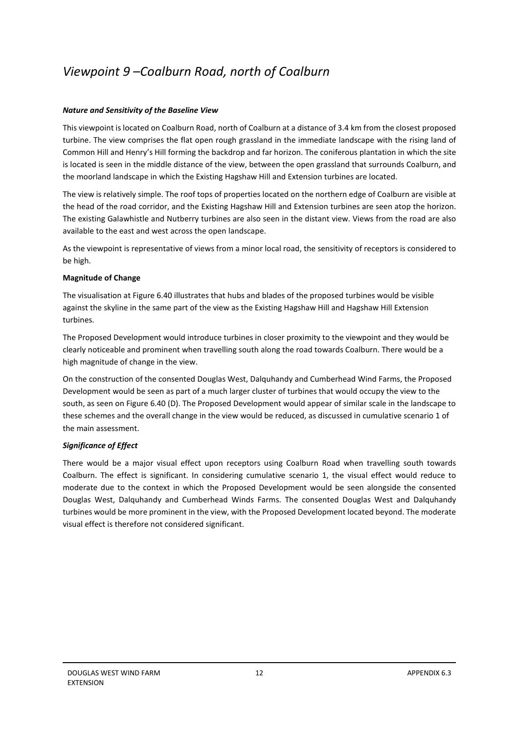# <span id="page-13-0"></span>*Viewpoint 9 –Coalburn Road, north of Coalburn*

### *Nature and Sensitivity of the Baseline View*

This viewpoint is located on Coalburn Road, north of Coalburn at a distance of 3.4 km from the closest proposed turbine. The view comprises the flat open rough grassland in the immediate landscape with the rising land of Common Hill and Henry's Hill forming the backdrop and far horizon. The coniferous plantation in which the site is located is seen in the middle distance of the view, between the open grassland that surrounds Coalburn, and the moorland landscape in which the Existing Hagshaw Hill and Extension turbines are located.

The view is relatively simple. The roof tops of properties located on the northern edge of Coalburn are visible at the head of the road corridor, and the Existing Hagshaw Hill and Extension turbines are seen atop the horizon. The existing Galawhistle and Nutberry turbines are also seen in the distant view. Views from the road are also available to the east and west across the open landscape.

As the viewpoint is representative of views from a minor local road, the sensitivity of receptors is considered to be high.

### **Magnitude of Change**

The visualisation at Figure 6.40 illustrates that hubs and blades of the proposed turbines would be visible against the skyline in the same part of the view as the Existing Hagshaw Hill and Hagshaw Hill Extension turbines.

The Proposed Development would introduce turbines in closer proximity to the viewpoint and they would be clearly noticeable and prominent when travelling south along the road towards Coalburn. There would be a high magnitude of change in the view.

On the construction of the consented Douglas West, Dalquhandy and Cumberhead Wind Farms, the Proposed Development would be seen as part of a much larger cluster of turbines that would occupy the view to the south, as seen on Figure 6.40 (D). The Proposed Development would appear of similar scale in the landscape to these schemes and the overall change in the view would be reduced, as discussed in cumulative scenario 1 of the main assessment.

### *Significance of Effect*

There would be a major visual effect upon receptors using Coalburn Road when travelling south towards Coalburn. The effect is significant. In considering cumulative scenario 1, the visual effect would reduce to moderate due to the context in which the Proposed Development would be seen alongside the consented Douglas West, Dalquhandy and Cumberhead Winds Farms. The consented Douglas West and Dalquhandy turbines would be more prominent in the view, with the Proposed Development located beyond. The moderate visual effect is therefore not considered significant.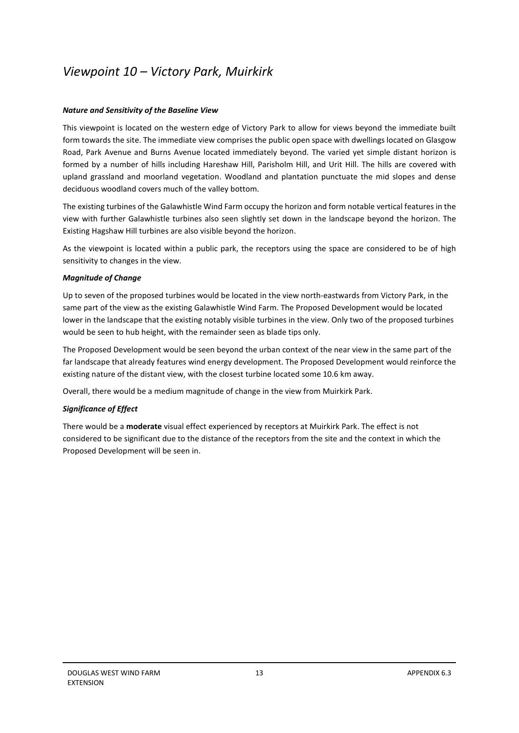## <span id="page-14-0"></span>*Viewpoint 10 – Victory Park, Muirkirk*

### *Nature and Sensitivity of the Baseline View*

This viewpoint is located on the western edge of Victory Park to allow for views beyond the immediate built form towards the site. The immediate view comprises the public open space with dwellings located on Glasgow Road, Park Avenue and Burns Avenue located immediately beyond. The varied yet simple distant horizon is formed by a number of hills including Hareshaw Hill, Parisholm Hill, and Urit Hill. The hills are covered with upland grassland and moorland vegetation. Woodland and plantation punctuate the mid slopes and dense deciduous woodland covers much of the valley bottom.

The existing turbines of the Galawhistle Wind Farm occupy the horizon and form notable vertical features in the view with further Galawhistle turbines also seen slightly set down in the landscape beyond the horizon. The Existing Hagshaw Hill turbines are also visible beyond the horizon.

As the viewpoint is located within a public park, the receptors using the space are considered to be of high sensitivity to changes in the view.

### *Magnitude of Change*

Up to seven of the proposed turbines would be located in the view north-eastwards from Victory Park, in the same part of the view as the existing Galawhistle Wind Farm. The Proposed Development would be located lower in the landscape that the existing notably visible turbines in the view. Only two of the proposed turbines would be seen to hub height, with the remainder seen as blade tips only.

The Proposed Development would be seen beyond the urban context of the near view in the same part of the far landscape that already features wind energy development. The Proposed Development would reinforce the existing nature of the distant view, with the closest turbine located some 10.6 km away.

Overall, there would be a medium magnitude of change in the view from Muirkirk Park.

### *Significance of Effect*

There would be a **moderate** visual effect experienced by receptors at Muirkirk Park. The effect is not considered to be significant due to the distance of the receptors from the site and the context in which the Proposed Development will be seen in.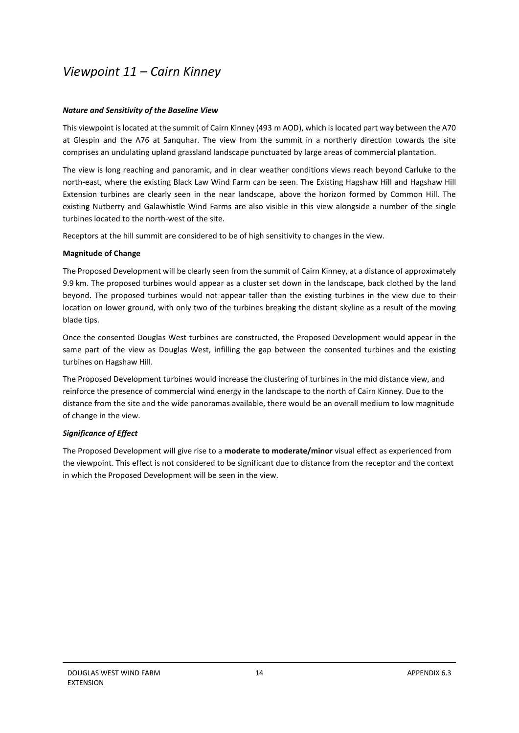### <span id="page-15-0"></span>*Viewpoint 11 – Cairn Kinney*

#### *Nature and Sensitivity of the Baseline View*

This viewpoint is located at the summit of Cairn Kinney (493 m AOD), which is located part way between the A70 at Glespin and the A76 at Sanquhar. The view from the summit in a northerly direction towards the site comprises an undulating upland grassland landscape punctuated by large areas of commercial plantation.

The view is long reaching and panoramic, and in clear weather conditions views reach beyond Carluke to the north-east, where the existing Black Law Wind Farm can be seen. The Existing Hagshaw Hill and Hagshaw Hill Extension turbines are clearly seen in the near landscape, above the horizon formed by Common Hill. The existing Nutberry and Galawhistle Wind Farms are also visible in this view alongside a number of the single turbines located to the north-west of the site.

Receptors at the hill summit are considered to be of high sensitivity to changes in the view.

#### **Magnitude of Change**

The Proposed Development will be clearly seen from the summit of Cairn Kinney, at a distance of approximately 9.9 km. The proposed turbines would appear as a cluster set down in the landscape, back clothed by the land beyond. The proposed turbines would not appear taller than the existing turbines in the view due to their location on lower ground, with only two of the turbines breaking the distant skyline as a result of the moving blade tips.

Once the consented Douglas West turbines are constructed, the Proposed Development would appear in the same part of the view as Douglas West, infilling the gap between the consented turbines and the existing turbines on Hagshaw Hill.

The Proposed Development turbines would increase the clustering of turbines in the mid distance view, and reinforce the presence of commercial wind energy in the landscape to the north of Cairn Kinney. Due to the distance from the site and the wide panoramas available, there would be an overall medium to low magnitude of change in the view.

### *Significance of Effect*

The Proposed Development will give rise to a **moderate to moderate/minor** visual effect as experienced from the viewpoint. This effect is not considered to be significant due to distance from the receptor and the context in which the Proposed Development will be seen in the view.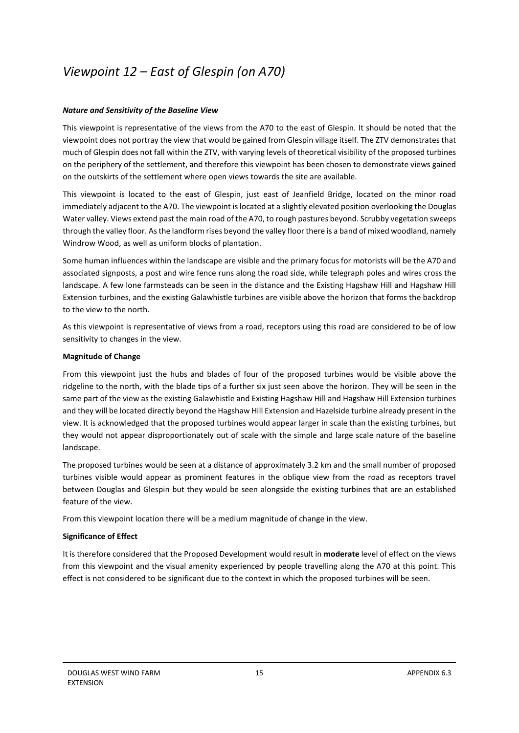# <span id="page-16-0"></span>*Viewpoint 12 – East of Glespin (on A70)*

### *Nature and Sensitivity of the Baseline View*

This viewpoint is representative of the views from the A70 to the east of Glespin. It should be noted that the viewpoint does not portray the view that would be gained from Glespin village itself. The ZTV demonstrates that much of Glespin does not fall within the ZTV, with varying levels of theoretical visibility of the proposed turbines on the periphery of the settlement, and therefore this viewpoint has been chosen to demonstrate views gained on the outskirts of the settlement where open views towards the site are available.

This viewpoint is located to the east of Glespin, just east of Jeanfield Bridge, located on the minor road immediately adjacent to the A70. The viewpoint is located at a slightly elevated position overlooking the Douglas Water valley. Views extend past the main road of the A70, to rough pastures beyond. Scrubby vegetation sweeps through the valley floor. As the landform rises beyond the valley floor there is a band of mixed woodland, namely Windrow Wood, as well as uniform blocks of plantation.

Some human influences within the landscape are visible and the primary focus for motorists will be the A70 and associated signposts, a post and wire fence runs along the road side, while telegraph poles and wires cross the landscape. A few lone farmsteads can be seen in the distance and the Existing Hagshaw Hill and Hagshaw Hill Extension turbines, and the existing Galawhistle turbines are visible above the horizon that forms the backdrop to the view to the north.

As this viewpoint is representative of views from a road, receptors using this road are considered to be of low sensitivity to changes in the view.

### **Magnitude of Change**

From this viewpoint just the hubs and blades of four of the proposed turbines would be visible above the ridgeline to the north, with the blade tips of a further six just seen above the horizon. They will be seen in the same part of the view as the existing Galawhistle and Existing Hagshaw Hill and Hagshaw Hill Extension turbines and they will be located directly beyond the Hagshaw Hill Extension and Hazelside turbine already present in the view. It is acknowledged that the proposed turbines would appear larger in scale than the existing turbines, but they would not appear disproportionately out of scale with the simple and large scale nature of the baseline landscape.

The proposed turbines would be seen at a distance of approximately 3.2 km and the small number of proposed turbines visible would appear as prominent features in the oblique view from the road as receptors travel between Douglas and Glespin but they would be seen alongside the existing turbines that are an established feature of the view.

From this viewpoint location there will be a medium magnitude of change in the view.

### **Significance of Effect**

It is therefore considered that the Proposed Development would result in **moderate** level of effect on the views from this viewpoint and the visual amenity experienced by people travelling along the A70 at this point. This effect is not considered to be significant due to the context in which the proposed turbines will be seen.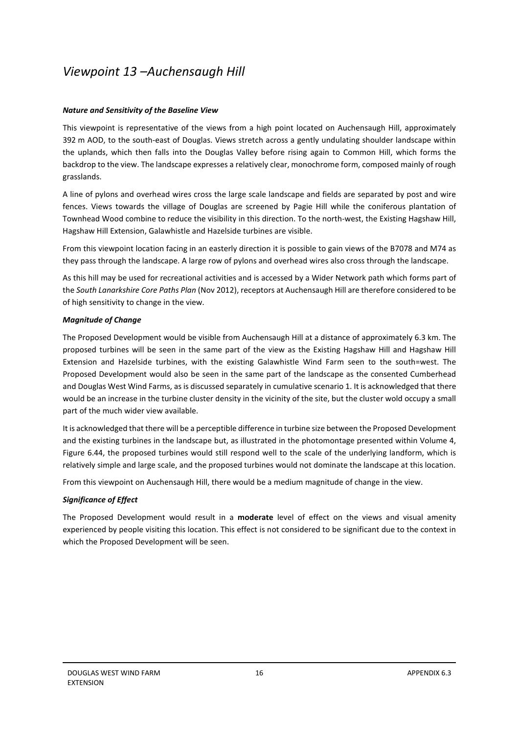### <span id="page-17-0"></span>*Viewpoint 13 –Auchensaugh Hill*

### *Nature and Sensitivity of the Baseline View*

This viewpoint is representative of the views from a high point located on Auchensaugh Hill, approximately 392 m AOD, to the south-east of Douglas. Views stretch across a gently undulating shoulder landscape within the uplands, which then falls into the Douglas Valley before rising again to Common Hill, which forms the backdrop to the view. The landscape expresses a relatively clear, monochrome form, composed mainly of rough grasslands.

A line of pylons and overhead wires cross the large scale landscape and fields are separated by post and wire fences. Views towards the village of Douglas are screened by Pagie Hill while the coniferous plantation of Townhead Wood combine to reduce the visibility in this direction. To the north-west, the Existing Hagshaw Hill, Hagshaw Hill Extension, Galawhistle and Hazelside turbines are visible.

From this viewpoint location facing in an easterly direction it is possible to gain views of the B7078 and M74 as they pass through the landscape. A large row of pylons and overhead wires also cross through the landscape.

As this hill may be used for recreational activities and is accessed by a Wider Network path which forms part of the *South Lanarkshire Core Paths Plan* (Nov 2012), receptors at Auchensaugh Hill are therefore considered to be of high sensitivity to change in the view.

### *Magnitude of Change*

The Proposed Development would be visible from Auchensaugh Hill at a distance of approximately 6.3 km. The proposed turbines will be seen in the same part of the view as the Existing Hagshaw Hill and Hagshaw Hill Extension and Hazelside turbines, with the existing Galawhistle Wind Farm seen to the south=west. The Proposed Development would also be seen in the same part of the landscape as the consented Cumberhead and Douglas West Wind Farms, as is discussed separately in cumulative scenario 1. It is acknowledged that there would be an increase in the turbine cluster density in the vicinity of the site, but the cluster wold occupy a small part of the much wider view available.

It is acknowledged that there will be a perceptible difference in turbine size between the Proposed Development and the existing turbines in the landscape but, as illustrated in the photomontage presented within Volume 4, Figure 6.44, the proposed turbines would still respond well to the scale of the underlying landform, which is relatively simple and large scale, and the proposed turbines would not dominate the landscape at this location.

From this viewpoint on Auchensaugh Hill, there would be a medium magnitude of change in the view.

### *Significance of Effect*

The Proposed Development would result in a **moderate** level of effect on the views and visual amenity experienced by people visiting this location. This effect is not considered to be significant due to the context in which the Proposed Development will be seen.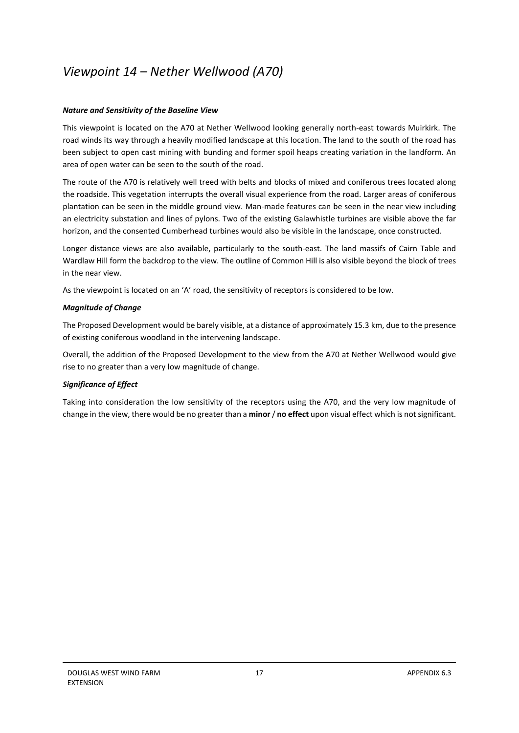# <span id="page-18-0"></span>*Viewpoint 14 – Nether Wellwood (A70)*

### *Nature and Sensitivity of the Baseline View*

This viewpoint is located on the A70 at Nether Wellwood looking generally north-east towards Muirkirk. The road winds its way through a heavily modified landscape at this location. The land to the south of the road has been subject to open cast mining with bunding and former spoil heaps creating variation in the landform. An area of open water can be seen to the south of the road.

The route of the A70 is relatively well treed with belts and blocks of mixed and coniferous trees located along the roadside. This vegetation interrupts the overall visual experience from the road. Larger areas of coniferous plantation can be seen in the middle ground view. Man-made features can be seen in the near view including an electricity substation and lines of pylons. Two of the existing Galawhistle turbines are visible above the far horizon, and the consented Cumberhead turbines would also be visible in the landscape, once constructed.

Longer distance views are also available, particularly to the south-east. The land massifs of Cairn Table and Wardlaw Hill form the backdrop to the view. The outline of Common Hill is also visible beyond the block of trees in the near view.

As the viewpoint is located on an 'A' road, the sensitivity of receptors is considered to be low.

### *Magnitude of Change*

The Proposed Development would be barely visible, at a distance of approximately 15.3 km, due to the presence of existing coniferous woodland in the intervening landscape.

Overall, the addition of the Proposed Development to the view from the A70 at Nether Wellwood would give rise to no greater than a very low magnitude of change.

### *Significance of Effect*

Taking into consideration the low sensitivity of the receptors using the A70, and the very low magnitude of change in the view, there would be no greater than a **minor**/ **no effect** upon visual effect which is not significant.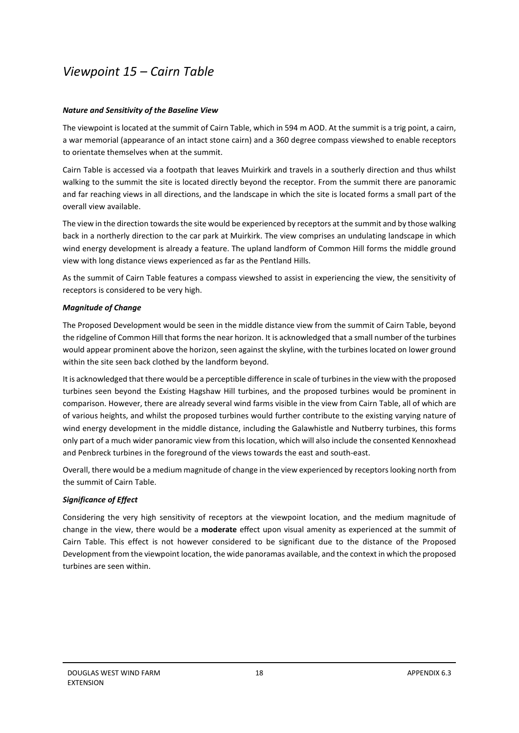### <span id="page-19-0"></span>*Viewpoint 15 – Cairn Table*

### *Nature and Sensitivity of the Baseline View*

The viewpoint is located at the summit of Cairn Table, which in 594 m AOD. At the summit is a trig point, a cairn, a war memorial (appearance of an intact stone cairn) and a 360 degree compass viewshed to enable receptors to orientate themselves when at the summit.

Cairn Table is accessed via a footpath that leaves Muirkirk and travels in a southerly direction and thus whilst walking to the summit the site is located directly beyond the receptor. From the summit there are panoramic and far reaching views in all directions, and the landscape in which the site is located forms a small part of the overall view available.

The view in the direction towards the site would be experienced by receptors at the summit and by those walking back in a northerly direction to the car park at Muirkirk. The view comprises an undulating landscape in which wind energy development is already a feature. The upland landform of Common Hill forms the middle ground view with long distance views experienced as far as the Pentland Hills.

As the summit of Cairn Table features a compass viewshed to assist in experiencing the view, the sensitivity of receptors is considered to be very high.

#### *Magnitude of Change*

The Proposed Development would be seen in the middle distance view from the summit of Cairn Table, beyond the ridgeline of Common Hill that forms the near horizon. It is acknowledged that a small number of the turbines would appear prominent above the horizon, seen against the skyline, with the turbines located on lower ground within the site seen back clothed by the landform beyond.

It is acknowledged that there would be a perceptible difference in scale of turbines in the view with the proposed turbines seen beyond the Existing Hagshaw Hill turbines, and the proposed turbines would be prominent in comparison. However, there are already several wind farms visible in the view from Cairn Table, all of which are of various heights, and whilst the proposed turbines would further contribute to the existing varying nature of wind energy development in the middle distance, including the Galawhistle and Nutberry turbines, this forms only part of a much wider panoramic view from this location, which will also include the consented Kennoxhead and Penbreck turbines in the foreground of the views towards the east and south-east.

Overall, there would be a medium magnitude of change in the view experienced by receptors looking north from the summit of Cairn Table.

### *Significance of Effect*

Considering the very high sensitivity of receptors at the viewpoint location, and the medium magnitude of change in the view, there would be a **moderate** effect upon visual amenity as experienced at the summit of Cairn Table. This effect is not however considered to be significant due to the distance of the Proposed Development from the viewpoint location, the wide panoramas available, and the context in which the proposed turbines are seen within.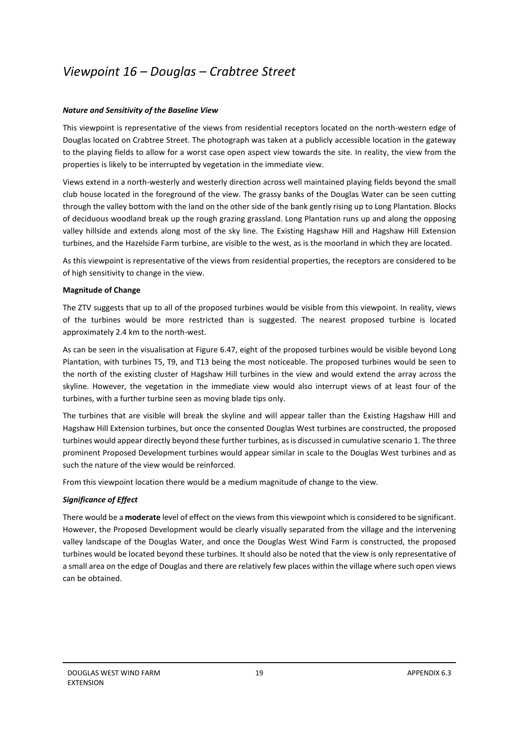# <span id="page-20-0"></span>*Viewpoint 16 – Douglas – Crabtree Street*

### *Nature and Sensitivity of the Baseline View*

This viewpoint is representative of the views from residential receptors located on the north-western edge of Douglas located on Crabtree Street. The photograph was taken at a publicly accessible location in the gateway to the playing fields to allow for a worst case open aspect view towards the site. In reality, the view from the properties is likely to be interrupted by vegetation in the immediate view.

Views extend in a north-westerly and westerly direction across well maintained playing fields beyond the small club house located in the foreground of the view. The grassy banks of the Douglas Water can be seen cutting through the valley bottom with the land on the other side of the bank gently rising up to Long Plantation. Blocks of deciduous woodland break up the rough grazing grassland. Long Plantation runs up and along the opposing valley hillside and extends along most of the sky line. The Existing Hagshaw Hill and Hagshaw Hill Extension turbines, and the Hazelside Farm turbine, are visible to the west, as is the moorland in which they are located.

As this viewpoint is representative of the views from residential properties, the receptors are considered to be of high sensitivity to change in the view.

### **Magnitude of Change**

The ZTV suggests that up to all of the proposed turbines would be visible from this viewpoint. In reality, views of the turbines would be more restricted than is suggested. The nearest proposed turbine is located approximately 2.4 km to the north-west.

As can be seen in the visualisation at Figure 6.47, eight of the proposed turbines would be visible beyond Long Plantation, with turbines T5, T9, and T13 being the most noticeable. The proposed turbines would be seen to the north of the existing cluster of Hagshaw Hill turbines in the view and would extend the array across the skyline. However, the vegetation in the immediate view would also interrupt views of at least four of the turbines, with a further turbine seen as moving blade tips only.

The turbines that are visible will break the skyline and will appear taller than the Existing Hagshaw Hill and Hagshaw Hill Extension turbines, but once the consented Douglas West turbines are constructed, the proposed turbines would appear directly beyond these further turbines, as is discussed in cumulative scenario 1. The three prominent Proposed Development turbines would appear similar in scale to the Douglas West turbines and as such the nature of the view would be reinforced.

From this viewpoint location there would be a medium magnitude of change to the view.

### *Significance of Effect*

There would be a **moderate** level of effect on the views from this viewpoint which is considered to be significant. However, the Proposed Development would be clearly visually separated from the village and the intervening valley landscape of the Douglas Water, and once the Douglas West Wind Farm is constructed, the proposed turbines would be located beyond these turbines. It should also be noted that the view is only representative of a small area on the edge of Douglas and there are relatively few places within the village where such open views can be obtained.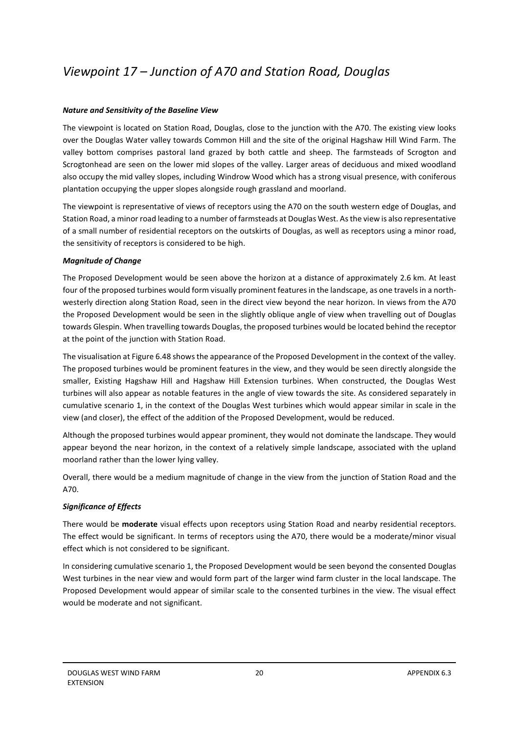# <span id="page-21-0"></span>*Viewpoint 17 – Junction of A70 and Station Road, Douglas*

### *Nature and Sensitivity of the Baseline View*

The viewpoint is located on Station Road, Douglas, close to the junction with the A70. The existing view looks over the Douglas Water valley towards Common Hill and the site of the original Hagshaw Hill Wind Farm. The valley bottom comprises pastoral land grazed by both cattle and sheep. The farmsteads of Scrogton and Scrogtonhead are seen on the lower mid slopes of the valley. Larger areas of deciduous and mixed woodland also occupy the mid valley slopes, including Windrow Wood which has a strong visual presence, with coniferous plantation occupying the upper slopes alongside rough grassland and moorland.

The viewpoint is representative of views of receptors using the A70 on the south western edge of Douglas, and Station Road, a minor road leading to a number of farmsteads at Douglas West. As the view is also representative of a small number of residential receptors on the outskirts of Douglas, as well as receptors using a minor road, the sensitivity of receptors is considered to be high.

### *Magnitude of Change*

The Proposed Development would be seen above the horizon at a distance of approximately 2.6 km. At least four of the proposed turbines would form visually prominent featuresin the landscape, as one travels in a northwesterly direction along Station Road, seen in the direct view beyond the near horizon. In views from the A70 the Proposed Development would be seen in the slightly oblique angle of view when travelling out of Douglas towards Glespin. When travelling towards Douglas, the proposed turbines would be located behind the receptor at the point of the junction with Station Road.

The visualisation at Figure 6.48 shows the appearance of the Proposed Development in the context of the valley. The proposed turbines would be prominent features in the view, and they would be seen directly alongside the smaller, Existing Hagshaw Hill and Hagshaw Hill Extension turbines. When constructed, the Douglas West turbines will also appear as notable features in the angle of view towards the site. As considered separately in cumulative scenario 1, in the context of the Douglas West turbines which would appear similar in scale in the view (and closer), the effect of the addition of the Proposed Development, would be reduced.

Although the proposed turbines would appear prominent, they would not dominate the landscape. They would appear beyond the near horizon, in the context of a relatively simple landscape, associated with the upland moorland rather than the lower lying valley.

Overall, there would be a medium magnitude of change in the view from the junction of Station Road and the A70.

### *Significance of Effects*

There would be **moderate** visual effects upon receptors using Station Road and nearby residential receptors. The effect would be significant. In terms of receptors using the A70, there would be a moderate/minor visual effect which is not considered to be significant.

In considering cumulative scenario 1, the Proposed Development would be seen beyond the consented Douglas West turbines in the near view and would form part of the larger wind farm cluster in the local landscape. The Proposed Development would appear of similar scale to the consented turbines in the view. The visual effect would be moderate and not significant.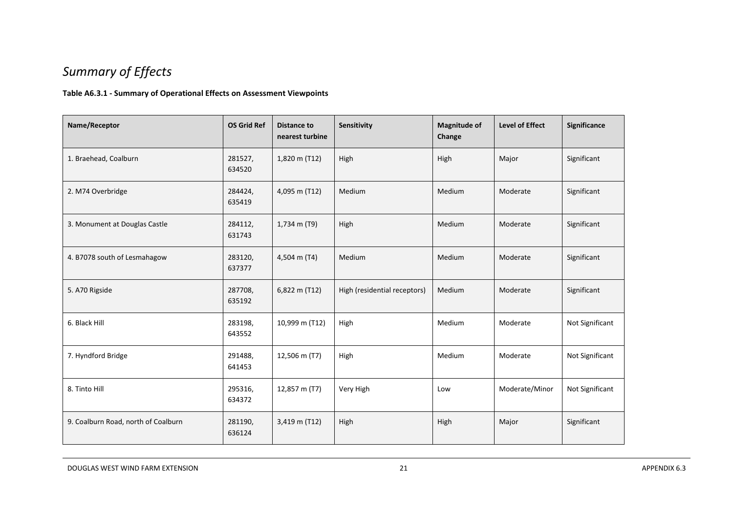# *Summary of Effects*

### **Table A6.3.1 - Summary of Operational Effects on Assessment Viewpoints**

<span id="page-22-0"></span>

| Name/Receptor                       | <b>OS Grid Ref</b> | Distance to<br>nearest turbine | Sensitivity                  | <b>Magnitude of</b><br>Change | <b>Level of Effect</b> | Significance    |
|-------------------------------------|--------------------|--------------------------------|------------------------------|-------------------------------|------------------------|-----------------|
| 1. Braehead, Coalburn               | 281527,<br>634520  | 1,820 m (T12)                  | High                         | High                          | Major                  | Significant     |
| 2. M74 Overbridge                   | 284424,<br>635419  | 4,095 m (T12)                  | Medium                       | Medium                        | Moderate               | Significant     |
| 3. Monument at Douglas Castle       | 284112,<br>631743  | 1,734 m (T9)                   | High                         | Medium                        | Moderate               | Significant     |
| 4. B7078 south of Lesmahagow        | 283120,<br>637377  | 4,504 m (T4)                   | Medium                       | Medium                        | Moderate               | Significant     |
| 5. A70 Rigside                      | 287708,<br>635192  | $6,822 \text{ m} (T12)$        | High (residential receptors) | Medium                        | Moderate               | Significant     |
| 6. Black Hill                       | 283198,<br>643552  | 10,999 m (T12)                 | High                         | Medium                        | Moderate               | Not Significant |
| 7. Hyndford Bridge                  | 291488,<br>641453  | 12,506 m (T7)                  | High                         | Medium                        | Moderate               | Not Significant |
| 8. Tinto Hill                       | 295316,<br>634372  | 12,857 m (T7)                  | Very High                    | Low                           | Moderate/Minor         | Not Significant |
| 9. Coalburn Road, north of Coalburn | 281190,<br>636124  | 3,419 m (T12)                  | High                         | High                          | Major                  | Significant     |